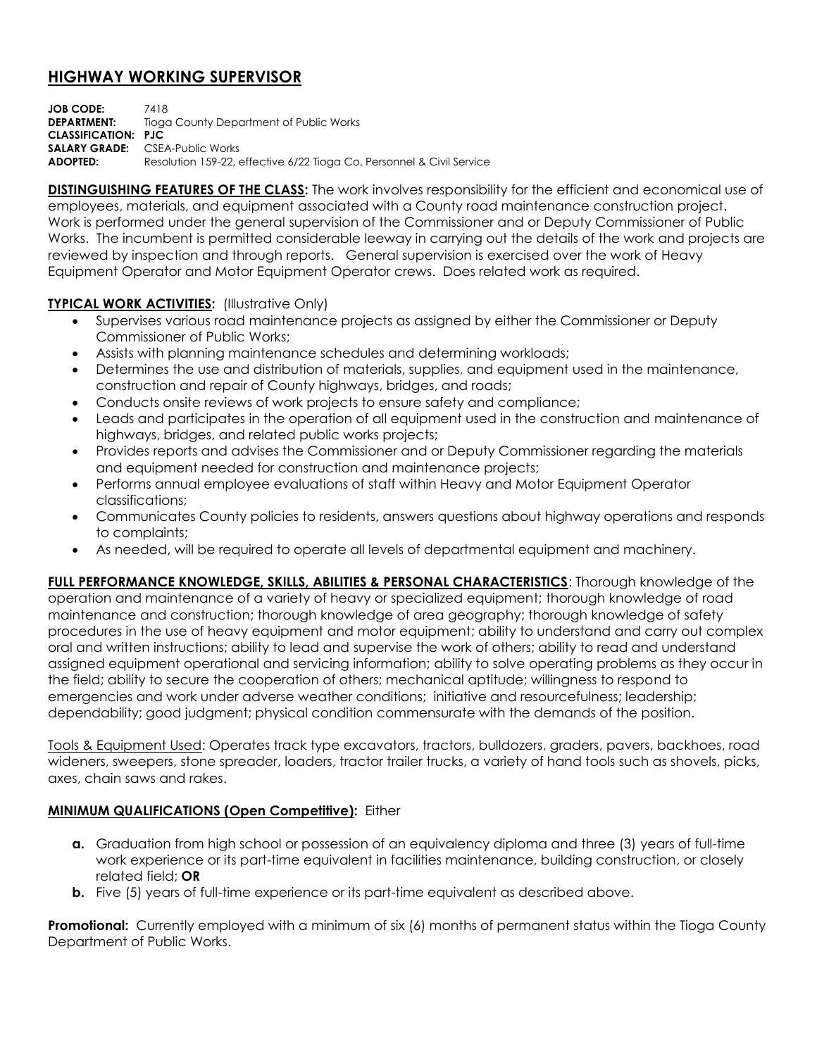## **HIGHWAY WORKING SUPERVISOR**

**JOB CODE:** 7418 **DEPARTMENT:** Tioga County Department of Public Works **CLASSIFICATION: PJC SALARY GRADE:** CSEA-Public Works **ADOPTED:** Resolution 159-22, effective 6/22 Tioga Co. Personnel & Civil Service

**DISTINGUISHING FEATURES OF THE CLASS:** The work involves responsibility for the efficient and economical use of employees, materials, and equipment associated with a County road maintenance construction project. Work is performed under the general supervision of the Commissioner and or Deputy Commissioner of Public Works. The incumbent is permitted considerable leeway in carrying out the details of the work and projects are reviewed by inspection and through reports. General supervision is exercised over the work of Heavy Equipment Operator and Motor Equipment Operator crews. Does related work as required.

## **TYPICAL WORK ACTIVITIES:** (Illustrative Only)

- Supervises various road maintenance projects as assigned by either the Commissioner or Deputy Commissioner of Public Works;
- Assists with planning maintenance schedules and determining workloads;
- Determines the use and distribution of materials, supplies, and equipment used in the maintenance, construction and repair of County highways, bridges, and roads;
- Conducts onsite reviews of work projects to ensure safety and compliance;
- Leads and participates in the operation of all equipment used in the construction and maintenance of highways, bridges, and related public works projects;
- Provides reports and advises the Commissioner and or Deputy Commissioner regarding the materials and equipment needed for construction and maintenance projects;
- Performs annual employee evaluations of staff within Heavy and Motor Equipment Operator classifications;
- Communicates County policies to residents, answers questions about highway operations and responds to complaints;
- As needed, will be required to operate all levels of departmental equipment and machinery.

**FULL PERFORMANCE KNOWLEDGE, SKILLS, ABILITIES & PERSONAL CHARACTERISTICS**: Thorough knowledge of the operation and maintenance of a variety of heavy or specialized equipment; thorough knowledge of road maintenance and construction; thorough knowledge of area geography; thorough knowledge of safety procedures in the use of heavy equipment and motor equipment; ability to understand and carry out complex oral and written instructions; ability to lead and supervise the work of others; ability to read and understand assigned equipment operational and servicing information; ability to solve operating problems as they occur in the field; ability to secure the cooperation of others; mechanical aptitude; willingness to respond to emergencies and work under adverse weather conditions; initiative and resourcefulness; leadership; dependability; good judgment; physical condition commensurate with the demands of the position.

Tools & Equipment Used: Operates track type excavators, tractors, bulldozers, graders, pavers, backhoes, road wideners, sweepers, stone spreader, loaders, tractor trailer trucks, a variety of hand tools such as shovels, picks, axes, chain saws and rakes.

## **MINIMUM QUALIFICATIONS (Open Competitive):** Either

- **a.** Graduation from high school or possession of an equivalency diploma and three (3) years of full-time work experience or its part-time equivalent in facilities maintenance, building construction, or closely related field; **OR**
- **b.** Five (5) years of full-time experience or its part-time equivalent as described above.

**Promotional:** Currently employed with a minimum of six (6) months of permanent status within the Tioga County Department of Public Works.